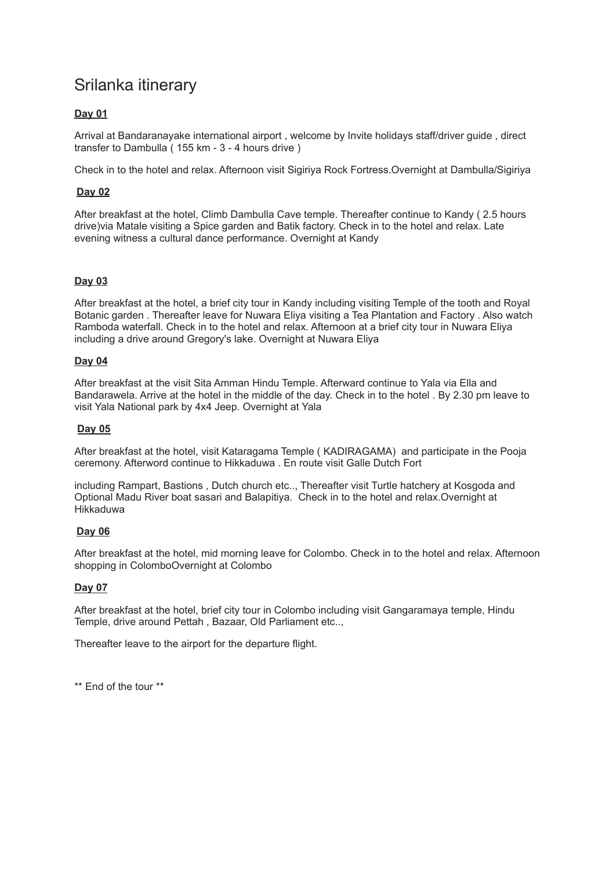# Srilanka itinerary

## **Day 01**

Arrival at Bandaranayake international airport , welcome by Invite holidays staff/driver guide , direct transfer to Dambulla ( 155 km - 3 - 4 hours drive )

Check in to the hotel and relax. Afternoon visit Sigiriya Rock Fortress.Overnight at Dambulla/Sigiriya

## **Day 02**

After breakfast at the hotel, Climb Dambulla Cave temple. Thereafter continue to Kandy ( 2.5 hours drive)via Matale visiting a Spice garden and Batik factory. Check in to the hotel and relax. Late evening witness a cultural dance performance. Overnight at Kandy

## **Day 03**

After breakfast at the hotel, a brief city tour in Kandy including visiting Temple of the tooth and Royal Botanic garden . Thereafter leave for Nuwara Eliya visiting a Tea Plantation and Factory . Also watch Ramboda waterfall. Check in to the hotel and relax. Afternoon at a brief city tour in Nuwara Eliya including a drive around Gregory's lake. Overnight at Nuwara Eliya

## **Day 04**

After breakfast at the visit Sita Amman Hindu Temple. Afterward continue to Yala via Ella and Bandarawela. Arrive at the hotel in the middle of the day. Check in to the hotel . By 2.30 pm leave to visit Yala National park by 4x4 Jeep. Overnight at Yala

#### **Day 05**

After breakfast at the hotel, visit Kataragama Temple ( KADIRAGAMA) and participate in the Pooja ceremony. Afterword continue to Hikkaduwa . En route visit Galle Dutch Fort

including Rampart, Bastions , Dutch church etc.., Thereafter visit Turtle hatchery at Kosgoda and Optional Madu River boat sasari and Balapitiya. Check in to the hotel and relax.Overnight at Hikkaduwa

### **Day 06**

After breakfast at the hotel, mid morning leave for Colombo. Check in to the hotel and relax. Afternoon shopping in ColomboOvernight at Colombo

### **Day 07**

After breakfast at the hotel, brief city tour in Colombo including visit Gangaramaya temple, Hindu Temple, drive around Pettah , Bazaar, Old Parliament etc..,

Thereafter leave to the airport for the departure flight.

\*\* End of the tour \*\*